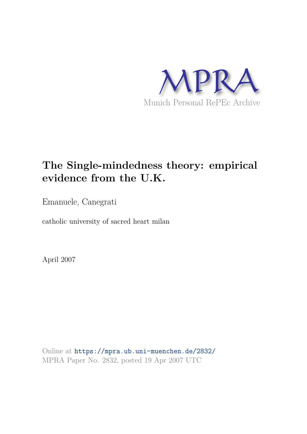

# **The Single-mindedness theory: empirical evidence from the U.K.**

Emanuele, Canegrati

catholic university of sacred heart milan

April 2007

Online at https://mpra.ub.uni-muenchen.de/2832/ MPRA Paper No. 2832, posted 19 Apr 2007 UTC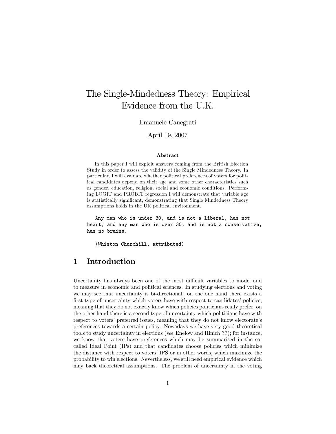## The Single-Mindedness Theory: Empirical Evidence from the U.K.

Emanuele Canegrati

April 19, 2007

#### Abstract

In this paper I will exploit answers coming from the British Election Study in order to assess the validity of the Single Mindedness Theory. In particular, I will evaluate whether political preferences of voters for political candidates depend on their age and some other characteristics such as gender, education, religion, social and economic conditions. Performing LOGIT and PROBIT regression I will demonstrate that variable age is statistically significant, demonstrating that Single Mindedness Theory assumptions holds in the UK political environment.

Any man who is under 30, and is not a liberal, has not heart; and any man who is over 30, and is not a conservative, has no brains.

(Whiston Churchill, attributed)

## 1 Introduction

Uncertainty has always been one of the most difficult variables to model and to measure in economic and political sciences. In studying elections and voting we may see that uncertainty is bi-directional: on the one hand there exists a first type of uncertainty which voters have with respect to candidates' policies, meaning that they do not exactly know which policies politicians really prefer; on the other hand there is a second type of uncertainty which politicians have with respect to voters' preferred issues, meaning that they do not know electorate's preferences towards a certain policy. Nowadays we have very good theoretical tools to study uncertainty in elections (see Enelow and Hinich ??); for instance, we know that voters have preferences which may be summarised in the socalled Ideal Point (IPs) and that candidates choose policies which minimize the distance with respect to votersí IPS or in other words, which maximize the probability to win elections. Nevertheless, we still need empirical evidence which may back theoretical assumptions. The problem of uncertainty in the voting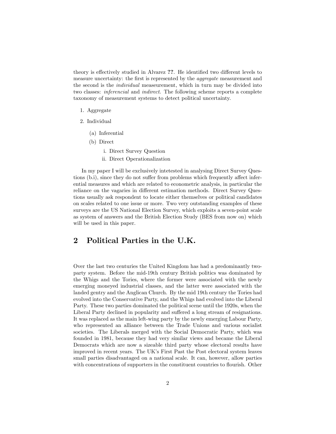theory is effectively studied in Alvarez ??. He identified two different levels to measure uncertainty: the first is represented by the *aggregate* measurement and the second is the individual measeurement, which in turn may be divided into two classes: inferencial and indirect. The following scheme reports a complete taxonomy of measurement systems to detect political uncertainty.

- 1. Aggregate
- 2. Individual
	- (a) Inferential
	- (b) Direct
		- i. Direct Survey Question
		- ii. Direct Operationalization

In my paper I will be exclusively intetested in analysing Direct Survey Questions (b.i), since they do not suffer from problems which frequently affect inferential measures and which are related to econometric analysis, in particular the reliance on the vagaries in different estimation methods. Direct Survey Questions usually ask respondent to locate either themselves or political candidates on scales related to one issue or more. Two very outstanding examples of these surveys are the US National Election Survey, which exploits a seven-point scale as system of answers and the British Election Study (BES from now on) which will be used in this paper.

## 2 Political Parties in the U.K.

Over the last two centuries the United Kingdom has had a predominantly twoparty system. Before the mid-19th century British politics was dominated by the Whigs and the Tories, where the former were associated with the newly emerging moneyed industrial classes, and the latter were associated with the landed gentry and the Anglican Church. By the mid 19th century the Tories had evolved into the Conservative Party, and the Whigs had evolved into the Liberal Party. These two parties dominated the political scene until the 1920s, when the Liberal Party declined in popularity and suffered a long stream of resignations. It was replaced as the main left-wing party by the newly emerging Labour Party, who represented an alliance between the Trade Unions and various socialist societies. The Liberals merged with the Social Democratic Party, which was founded in 1981, because they had very similar views and became the Liberal Democrats which are now a sizeable third party whose electoral results have improved in recent years. The UKís First Past the Post electoral system leaves small parties disadvantaged on a national scale. It can, however, allow parties with concentrations of supporters in the constituent countries to flourish. Other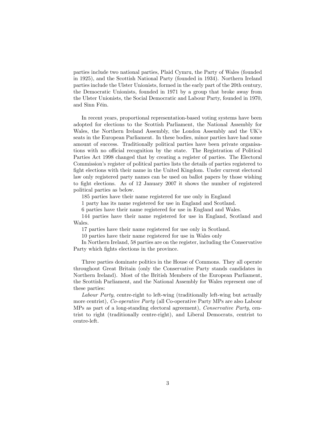parties include two national parties, Plaid Cymru, the Party of Wales (founded in 1925), and the Scottish National Party (founded in 1934). Northern Ireland parties include the Ulster Unionists, formed in the early part of the 20th century, the Democratic Unionists, founded in 1971 by a group that broke away from the Ulster Unionists, the Social Democratic and Labour Party, founded in 1970, and Sinn Féin.

In recent years, proportional representation-based voting systems have been adopted for elections to the Scottish Parliament, the National Assembly for Wales, the Northern Ireland Assembly, the London Assembly and the UKís seats in the European Parliament. In these bodies, minor parties have had some amount of success. Traditionally political parties have been private organisations with no official recognition by the state. The Registration of Political Parties Act 1998 changed that by creating a register of parties. The Electoral Commission's register of political parties lists the details of parties registered to fight elections with their name in the United Kingdom. Under current electoral law only registered party names can be used on ballot papers by those wishing to fight elections. As of 12 January 2007 it shows the number of registered political parties as below.

185 parties have their name registered for use only in England

1 party has its name registered for use in England and Scotland.

6 parties have their name registered for use in England and Wales.

144 parties have their name registered for use in England, Scotland and Wales.

17 parties have their name registered for use only in Scotland.

10 parties have their name registered for use in Wales only

In Northern Ireland, 58 parties are on the register, including the Conservative Party which fights elections in the province.

Three parties dominate politics in the House of Commons. They all operate throughout Great Britain (only the Conservative Party stands candidates in Northern Ireland). Most of the British Members of the European Parliament, the Scottish Parliament, and the National Assembly for Wales represent one of these parties:

Labour Party, centre-right to left-wing (traditionally left-wing but actually more centrist), Co-operative Party (all Co-operative Party MPs are also Labour MPs as part of a long-standing electoral agreement), Conservative Party, centrist to right (traditionally centre-right), and Liberal Democrats, centrist to centre-left.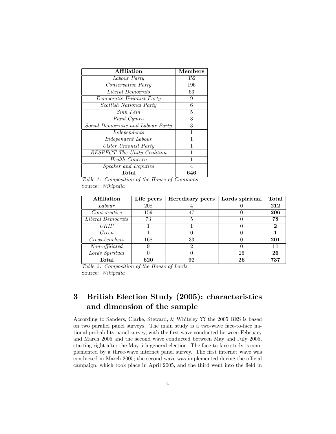| Affiliation                        | <b>Members</b> |
|------------------------------------|----------------|
| Labour Party                       | 352            |
| Conservative Party                 | 196            |
| Liberal Democrats                  | 63             |
| Democratic Unionist Party          | 9              |
| Scottish National Party            | 6              |
| Sinn Féin                          | 5              |
| Plaid Cymru                        | 3              |
| Social Democratic and Labour Party | 3              |
| Independents                       | 1              |
| Independent Labour                 | 1              |
| <b>Ulster Unionist Party</b>       | 1              |
| RESPECT The Unity Coalition        | 1              |
| Health Concern                     | 1              |
| <b>Speaker and Deputies</b>        | 4              |
| Total                              | 646            |

Table 1: Composition of the House of Commons Source: Wikipedia

| Affiliation              | Life peers | Hereditary peers | Lords spiritual | Total         |
|--------------------------|------------|------------------|-----------------|---------------|
| Labour                   | 208        |                  |                 | 212           |
| Conservative             | 159        | 47               |                 | 206           |
| <i>Liberal Democrats</i> | 73         |                  |                 | 78            |
| <b>UKIP</b>              |            |                  |                 | $\mathcal{D}$ |
| Green                    |            |                  |                 |               |
| Cross-benchers           | 168        | 33               |                 | 201           |
| $Non-afflicated$         | 9          |                  |                 | 11            |
| Lords Spiritual          |            |                  | 26              | 26            |
| Total                    | 620        | 92               | 26              | 737           |

Table 2: Composition of the House of Lords Source: Wikipedia

## 3 British Election Study (2005): characteristics and dimension of the sample

According to Sanders, Clarke, Steward, & Whiteley ?? the 2005 BES is based on two parallel panel surveys. The main study is a two-wave face-to-face national probability panel survey, with the first wave conducted between February and March 2005 and the second wave conducted between May and July 2005, starting right after the May 5th general election. The face-to-face study is complemented by a three-wave internet panel survey. The Örst internet wave was conducted in March 2005; the second wave was implemented during the official campaign, which took place in April 2005, and the third went into the field in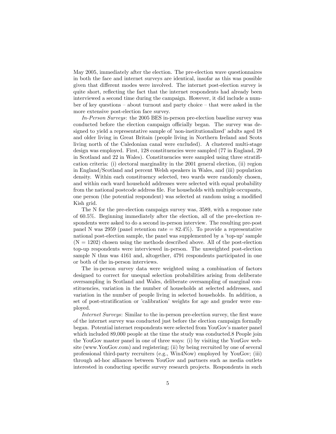May 2005, immediately after the election. The pre-election wave questionnaires in both the face and internet surveys are identical, insofar as this was possible given that different modes were involved. The internet post-election survey is quite short, reflecting the fact that the internet respondents had already been interviewed a second time during the campaign. However, it did include a number of key questions  $\overline{\phantom{a}}$  about turnout and party choice  $\overline{\phantom{a}}$  that were asked in the more extensive post-election face survey.

In-Person Surveys: the 2005 BES in-person pre-election baseline survey was conducted before the election campaign officially began. The survey was designed to yield a representative sample of 'non-institutionalized' adults aged 18 and older living in Great Britain (people living in Northern Ireland and Scots living north of the Caledonian canal were excluded). A clustered multi-stage design was employed. First, 128 constituencies were sampled (77 in England, 29 in Scotland and 22 in Wales). Constituencies were sampled using three stratification criteria: (i) electoral marginality in the 2001 general election, (ii) region in England/Scotland and percent Welsh speakers in Wales, and (iii) population density. Within each constituency selected, two wards were randomly chosen, and within each ward household addresses were selected with equal probability from the national postcode address file. For households with multiple occupants, one person (the potential respondent) was selected at random using a modified Kish grid.

The N for the pre-election campaign survey was, 3589, with a response rate of 60.5%. Beginning immediately after the election, all of the pre-election respondents were asked to do a second in-person interview. The resulting pre-post panel N was 2959 (panel retention rate  $= 82.4\%$ ). To provide a representative national post-election sample, the panel was supplemented by a 'top-up' sample  $(N = 1202)$  chosen using the methods described above. All of the post-election top-up respondents were interviewed in-person. The unweighted post-election sample N thus was 4161 and, altogether, 4791 respondents participated in one or both of the in-person interviews.

The in-person survey data were weighted using a combination of factors designed to correct for unequal selection probabilities arising from deliberate oversampling in Scotland and Wales, deliberate oversampling of marginal constituencies, variation in the number of households at selected addresses, and variation in the number of people living in selected households. In addition, a set of post-stratification or 'calibration' weights for age and gender were employed.

Internet Surveys: Similar to the in-person pre-election survey, the first wave of the internet survey was conducted just before the election campaign formally began. Potential internet respondents were selected from YouGov's master panel which included 89,000 people at the time the study was conducted.8 People join the YouGov master panel in one of three ways: (i) by visiting the YouGov website (www.YouGov.com) and registering; (ii) by being recruited by one of several professional third-party recruiters (e.g., Win4Now) employed by YouGov; (iii) through ad-hoc alliances between YouGov and partners such as media outlets interested in conducting specific survey research projects. Respondents in such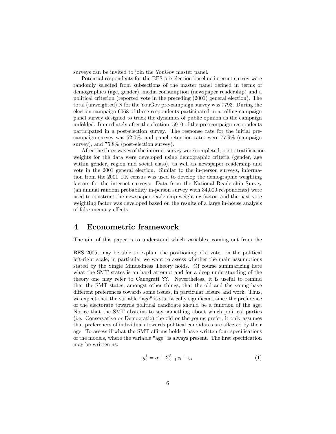surveys can be invited to join the YouGov master panel.

Potential respondents for the BES pre-election baseline internet survey were randomly selected from subsections of the master panel defined in terms of demographics (age, gender), media consumption (newspaper readership) and a political criterion (reported vote in the preceding (2001) general election). The total (unweighted) N for the YouGov pre-campaign survey was 7793. During the election campaign 6068 of these respondents participated in a rolling campaign panel survey designed to track the dynamics of public opinion as the campaign unfolded. Immediately after the election, 5910 of the pre-campaign respondents participated in a post-election survey. The response rate for the initial precampaign survey was 52.0%, and panel retention rates were 77.9% (campaign survey), and 75.8% (post-election survey).

After the three waves of the internet survey were completed, post-stratification weights for the data were developed using demographic criteria (gender, age within gender, region and social class), as well as newspaper readership and vote in the 2001 general election. Similar to the in-person surveys, information from the 2001 UK census was used to develop the demographic weighting factors for the internet surveys. Data from the National Readership Survey (an annual random probability in-person survey with 34,000 respondents) were used to construct the newspaper readership weighting factor, and the past vote weighting factor was developed based on the results of a large in-house analysis of false-memory effects.

## 4 Econometric framework

The aim of this paper is to understand which variables, coming out from the

BES 2005, may be able to explain the positioning of a voter on the political left-right scale; in particular we want to assess whether the main assumptions stated by the Single Mindedness Theory holds. Of course summarizing here what the SMT states is an hard attempt and for a deep understanding of the theory one may refer to Canegrati ??. Nevertheless, it is useful to remind that the SMT states, amongst other things, that the old and the young have different preferences towards some issues, in particular leisure and work. Thus, we expect that the variable "age" is statistically significant, since the preference of the electorate towards political candidate should be a function of the age. Notice that the SMT abstains to say something about which political parties (i.e. Conservative or Democratic) the old or the young prefer; it only assumes that preferences of individuals towards political candidates are affected by their age. To assess if what the SMT affirms holds I have written four specifications of the models, where the variable "age" is always present. The first specification may be written as:

$$
y_i^1 = \alpha + \sum_{i=1}^3 x_i + \varepsilon_i \tag{1}
$$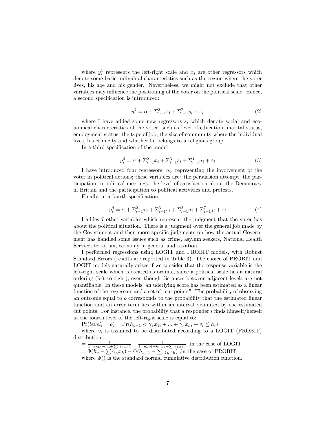where  $y_i^1$  represents the left-right scale and  $x_i$  are other regressors which denote some basic individual characteristics such as the region where the voter lives, his age and his gender. Nevertheless, we might not exclude that other variables may influence the positioning of the voter on the political scale. Hence, a second specification is introduced:

$$
y_i^2 = \alpha + \sum_{i=1}^3 x_i + \sum_{i=1}^7 s_i + \varepsilon_i \tag{2}
$$

where I have added some new regressors  $s_i$  which denote social and economical characteristics of the voter, such as level of education, marital status, employment status, the type of job, the size of community where the individual lives, his ethnicity and whether he belongs to a religious group.

In a third specification of the model

$$
y_i^3 = \alpha + \sum_{i=1}^2 x_i + \sum_{i=1}^3 s_i + \sum_{i=1}^4 a_i + \varepsilon_i \tag{3}
$$

I have introduced four regressors,  $a_i$ , representing the involvement of the voter in political actions; these variables are: the persuasion attempt, the participation to political meetings, the level of satisfaction about the Democracy in Britain and the participation to political activities and protests.

Finally, in a fourth specification

$$
y_i^4 = \alpha + \sum_{i=1}^2 x_i + \sum_{i=1}^3 s_i + \sum_{i=1}^2 a_i + \sum_{i=1}^7 j_i + \varepsilon_i
$$
 (4)

I addes 7 other variables which represent the judgment that the voter has about the political situation. There is a judgment over the general job made by the Government and then more specific judgments on how the actual Government has handled some issues such as crime, asylum seekers, National Health Service, terrorism, economy in general and taxation.

I performed regressions using LOGIT and PROBIT models, with Robust Standard Errors (results are reported in Table 3). The choice of PROBIT and LOGIT models naturally arises if we consider that the response variable is the left-right scale which is treated as ordinal, since a political scale has a natural ordering (left to right), even though distances between adjacent levels are not quantifiable. In these models, an uderlying score has been estimated as a linear function of the regressors and a set of "cut points". The probability of observing an outcome equal to o corresponds to the probability that the estimated linear function and an error term lies within an interval delimited by the estimated cut points. For instance, the probability that a responder  $i$  finds himself/herself at the fourth level of the left-right scale is equal to:

 $Pr(level_i = o) = Pr(h_{o-1} < \gamma_1 x_{1i} + ... + \gamma_h x_{hi} + v_i \le h_i)$ 

where  $v_i$  is assumed to be distributed according to a LOGIT (PROBIT) distribution

 $=\frac{1}{1=\exp(-h_o+\sum \gamma_h x_h)} - \frac{1}{1=\exp(-h_o-1+\sum \gamma_h x_h)}$ , in the case of LOGIT  $=\Phi(h_o - \sum \gamma_h x_h) - \Phi(h_{o-1} - \sum \gamma_h x_h)$ , in the case of PROBIT where  $\Phi()$  is the standard normal cumulative distribution function.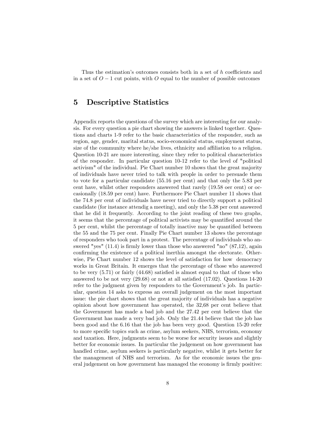Thus the estimation's outcomes consists both in a set of  $h$  coefficients and in a set of  $O-1$  cut points, with O equal to the number of possible outcomes

## 5 Descriptive Statistics

Appendix reports the questions of the survey which are interesting for our analysis. For every question a pie chart showing the answers is linked together. Questions and charts 1-9 refer to the basic characteristics of the responder, such as region, age, gender, marital status, socio-economical status, employment status, size of the community where he/she lives, ethnicity and affiliation to a religion. Question 10-21 are more interesting, since they refer to political characteristics of the responder. In particular question 10-12 refer to the level of "political activism" of the individual. Pie Chart number 10 shows that the great majority of individuals have never tried to talk with people in order to persuade them to vote for a particular candidate (55.16 per cent) and that only the 5.83 per cent have, whilst other responders answered that rarely (19.58 oer cent) or occasionally (18.59 per cent) have. Furthermore Pie Chart number 11 shows that the 74.8 per cent of individuals have never tried to directly support a political candidate (for instance attendig a meeting), and only the 5.38 per cent answered that he did it frequently. According to the joint reading of these two graphs, it seems that the percentage of political activists may be quantified around the 5 per cent, whilst the percentage of totally inactive may be quantified between the 55 and the 75 per cent. Finally Pie Chart number 13 shows the percentage of responders who took part in a protest. The percentage of individuals who answered "yes"  $(11.4)$  is firmly lower than those who answered "no"  $(87.12)$ , again confirming the existence of a political inerthia amongst the electorate. Otherwise, Pie Chart number 12 shows the level of satisfaction for how democracy works in Great Britain. It emerges that the percentage of those who answered to be very  $(5.71)$  or fairly  $(44.68)$  satisfied is almost equal to that of those who answered to be not very  $(29.68)$  or not at all satisfied  $(17.02)$ . Questions 14-20 refer to the judgment given by responders to the Government's job. In particular, question 14 asks to express an overall judgement on the most important issue: the pie chart shows that the great majority of individuals has a negative opinion about how government has operated, the 32,68 per cent believe that the Government has made a bad job and the 27.42 per cent believe that the Government has made a very bad job. Only the 21.44 believe that the job has been good and the 6.16 that the job has been very good. Question 15-20 refer to more specific topics such as crime, asylum seekers, NHS, terrorism, economy and taxation. Here, judgments seem to be worse for security issues and slightly better for economic issues. In particular the judgement on how government has handled crime, asylum seekers is particularly negative, whilst it gets better for the management of NHS and terrorism. As for the economic issues the general judgement on how government has managed the economy is firmly positive: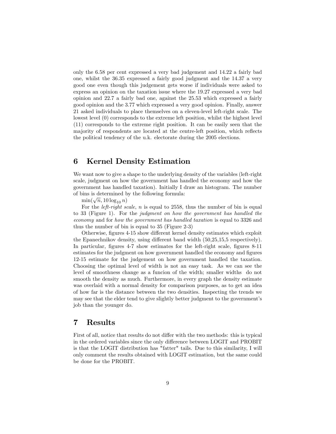only the 6.58 per cent expressed a very bad judgement and 14.22 a fairly bad one, whilst the 36.35 expressed a fairly good judgment and the 14.37 a very good one even though this judgement gets worse if individuals were asked to express an opinion on the taxation issue where the 19.27 expressed a very bad opinion and 22.7 a fairly bad one, against the 25.53 which expressed a fairly good opinion and the 3.77 which expressed a very good opinion. Finally, answer 21 asked individuals to place themselves on a eleven-level left-right scale. The lowest level (0) corresponds to the extreme left position, whilst the highest level (11) corresponds to the extreme right position. It can be easily seen that the majority of respondents are located at the centre-left position, which reflects the political tendency of the u.k. electorate during the 2005 elections.

## 6 Kernel Density Estimation

We want now to give a shape to the underlying density of the variables (left-right scale, judgment on how the government has handled the economy and how the government has handled taxation). Initially I draw an histogram. The number of bins is determined by the following formula:

 $\min(\sqrt{n}, 10 \log_{10} n)$ 

For the *left-right scale, n* is equal to 2558, thus the number of bin is equal to 33 (Figure 1). For the judgment on how the government has handled the economy and for how the government has handled taxation is equal to 3326 and thus the number of bin is equal to 35 (Figure 2-3)

Otherwise, figures 4-15 show different kernel density estimates which exploit the Epanechnikov density, using different band width  $(50,25,15,5$  respectively). In particular, figures 4-7 show estimates for the left-right scale, figures 8-11 estimates for the judgment on how government handled the economy and figures 12-15 estimate for the judgement on how government handled the taxation. Choosing the optimal level of width is not an easy task. As we can see the level of smoothness change as a funcion of the width; smaller widths do not smooth the density as much. Furthermore, in every graph the density estimate was overlaid with a normal density for comparison purposes, as to get an idea of how far is the distance between the two densities. Inspecting the trends we may see that the elder tend to give slightly better judgment to the government's job than the younger do.

## 7 Results

First of all, notice that results do not differ with the two methods: this is typical in the ordered variables since the only difference between LOGIT and PROBIT is that the LOGIT distribution has "fatter" tails. Due to this similarity, I will only comment the results obtained with LOGIT estimation, but the same could be done for the PROBIT.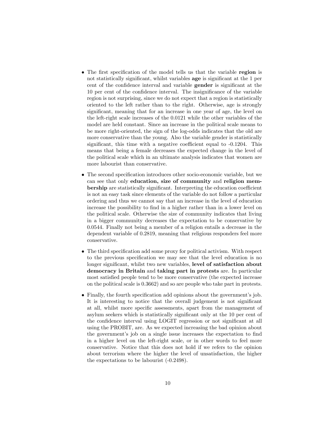- The first specification of the model tells us that the variable region is not statistically significant, whilst variables age is significant at the 1 per cent of the confidence interval and variable **gender** is significant at the 10 per cent of the confidence interval. The insignificance of the variable region is not surprising, since we do not expect that a region is statistically oriented to the left rather than to the right. Otherwise, age is strongly significant, meaning that for an increase in one year of age, the level on the left-right scale increases of the 0.0121 while the other variables of the model are held constant. Since an increase in the political scale means to be more right-oriented, the sign of the log-odds indicates that the old are more conservative than the young. Also the variable gender is statistically significant, this time with a negative coefficient equal to  $-0.1204$ . This means that being a female decreases the expected change in the level of the political scale which in an ultimate analysis indicates that women are more labourist than conservative.
- $\bullet$  The second specification introduces other socio-economic variable, but we can see that only education, size of community and religion mem**bership** are statistically significant. Interpreting the education coefficient is not an easy task since elements of the variable do not follow a particular ordering and thus we cannot say that an increase in the level of education increase the possibility to find in a higher rather than in a lower level on the political scale. Otherwise the size of community indicates that living in a bigger community decreases the expectation to be conservative by 0.0544. Finally not being a member of a religion entails a decrease in the dependent variable of 0.2819, meaning that religious responders feel more conservative.
- $\bullet$  The third specification add some proxy for political activism. With respect to the previous specification we may see that the level education is no longer significant, whilst two new variables, level of satisfaction about democracy in Britain and taking part in protests are. In particular most satisfied people tend to be more conservative (the expected increase on the political scale is 0.3662) and so are people who take part in protests.
- $\bullet$  Finally, the fourth specification add opinions about the government's job. It is interesting to notice that the overall judgement is not significant at all, whilst more specific assessments, apart from the management of asylum seekers which is statistically significant only at the 10 per cent of the confidence interval using LOGIT regression or not significant at all using the PROBIT, are. As we expected increasing the bad opinion about the government's job on a single issue increases the expectation to find in a higher level on the left-right scale, or in other words to feel more conservative. Notice that this does not hold if we refers to the opinion about terrorism where the higher the level of unsatisfaction, the higher the expectations to be labourist (-0.2498).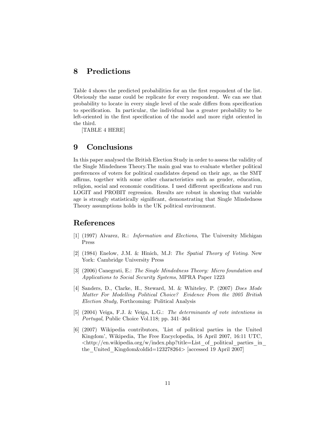## 8 Predictions

Table 4 shows the predicted probabilities for an the first respondent of the list. Obviously the same could be replicate for every respondent. We can see that probability to locate in every single level of the scale differs from specification to specification. In particular, the individual has a greater probability to be left-oriented in the first specification of the model and more right oriented in the third.

[TABLE 4 HERE]

## 9 Conclusions

In this paper analysed the British Election Study in order to assess the validity of the Single Mindedness Theory.The main goal was to evaluate whether political preferences of voters for political candidates depend on their age, as the SMT affirms, together with some other characteristics such as gender, education, religion, social and economic conditions. I used different specifications and run LOGIT and PROBIT regression. Results are robust in showing that variable age is strongly statistically significant, demonstrating that Single Mindedness Theory assumptions holds in the UK political environment.

## References

- [1] (1997) Alvarez, R.: Information and Elections, The University Michigan Press
- [2] (1984) Enelow, J.M. & Hinich, M.J: The Spatial Theory of Voting. New York: Cambridge University Press
- [3] (2006) Canegrati, E.: The Single Mindedness Theory: Micro foundation and Applications to Social Security Systems, MPRA Paper 1223
- [4] Sanders, D., Clarke, H., Steward, M. & Whiteley, P. (2007) Does Mode Matter For Modelling Political Choice? Evidence From the 2005 British Election Study, Forthcoming: Political Analysis
- [5] (2004) Veiga, F.J. & Veiga, L.G.: The determinants of vote intentions in Portugal, Public Choice Vol.118; pp. 341-364
- [6] (2007) Wikipedia contributors, íList of political parties in the United Kingdomí, Wikipedia, The Free Encyclopedia, 16 April 2007, 16:11 UTC,  $\langle$ http://en.wikipedia.org/w/index.php?title=List of political parties in the\_United\_Kingdom&oldid=123278264> [accessed 19 April 2007]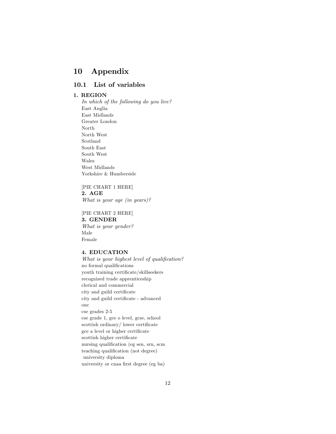## 10 Appendix

### 10.1 List of variables

#### 1. REGION

In which of the following do you live? East Anglia East Midlands Greater London North North West Scotland South East South West Wales West Midlands Yorkshire & Humberside

[PIE CHART 1 HERE] 2. AGE What is your age (in years)?

[PIE CHART 2 HERE] 3. GENDER What is your gender? Male Female

#### 4. EDUCATION

What is your highest level of qualification? no formal qualifications youth training certificate/skillseekers recognized trade apprenticeship clerical and commercial city and guild certificate city and guild certificate - advanced onc cse grades 2-5 cse grade 1, gce o level, gcse, school  $scottish$  ordinary / lower certificate gce a level or higher certificate scottish higher certificate nursing qualification (eg sen, srn, scm teaching qualification (not degree) university diploma university or cnaa first degree (eg ba)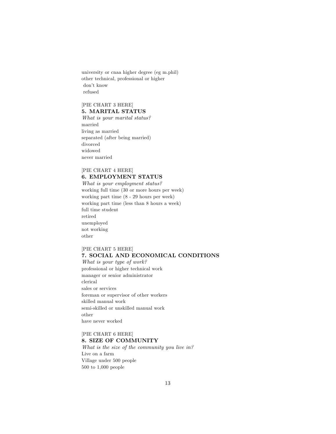university or cnaa higher degree (eg m.phil) other technical, professional or higher don't know refused

#### [PIE CHART 3 HERE] 5. MARITAL STATUS

What is your marital status? married living as married separated (after being married) divorced widowed never married

#### [PIE CHART 4 HERE] 6. EMPLOYMENT STATUS

What is your employment status? working full time (30 or more hours per week) working part time (8 - 29 hours per week) working part time (less than 8 hours a week) full time student retired unemployed not working other

#### [PIE CHART 5 HERE] 7. SOCIAL AND ECONOMICAL CONDITIONS

What is your type of work? professional or higher technical work manager or senior administrator clerical sales or services foreman or supervisor of other workers skilled manual work semi-skilled or unskilled manual work other have never worked

#### [PIE CHART 6 HERE] 8. SIZE OF COMMUNITY

What is the size of the community you live in? Live on a farm Village under 500 people 500 to 1,000 people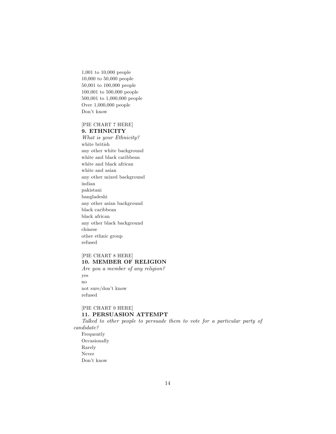1,001 to 10,000 people 10,000 to 50,000 people 50,001 to 100,000 people 100,001 to 500,000 people 500,001 to 1,000,000 people Over 1,000,000 people Don't know

#### [PIE CHART 7 HERE] 9. ETHNICITY

What is your Ethnicity? white british any other white background white and black caribbean white and black african white and asian any other mixed background indian pakistani bangladeshi any other asian background black caribbean black african any other black background chinese other ethnic group refused

## [PIE CHART 8 HERE] 10. MEMBER OF RELIGION

Are you a member of any religion? yes no not sure/don't know refused

#### [PIE CHART 9 HERE] 11. PERSUASION ATTEMPT

Talked to other people to persuade them to vote for a particular party of candidate?

Frequently Occasionally Rarely Never Don't know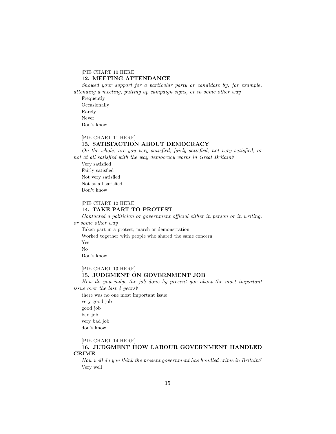#### [PIE CHART 10 HERE]

#### 12. MEETING ATTENDANCE

Showed your support for a particular party or candidate by, for example, attending a meeting, putting up campaign signs, or in some other way

Frequently Occasionally Rarely Never Don't know

#### [PIE CHART 11 HERE]

#### 13. SATISFACTION ABOUT DEMOCRACY

On the whole, are you very satisfied, fairly satisfied, not very satisfied, or not at all satisfied with the way democracy works in Great Britain?

Very satisfied Fairly satisfied Not very satisfied Not at all satisfied Don't know

#### [PIE CHART 12 HERE]

#### 14. TAKE PART TO PROTEST

 $Contacted$  a politician or government official either in person or in writing, or some other way

Taken part in a protest, march or demonstration Worked together with people who shared the same concern Yes

No

Don't know

#### [PIE CHART 13 HERE]

#### 15. JUDGMENT ON GOVERNMENT JOB

How do you judge the job done by present gov about the most important issue over the last 4 years?

there was no one most important issue

very good job good job bad job very bad job don't know

#### [PIE CHART 14 HERE]

#### 16. JUDGMENT HOW LABOUR GOVERNMENT HANDLED CRIME

How well do you think the present government has handled crime in Britain? Very well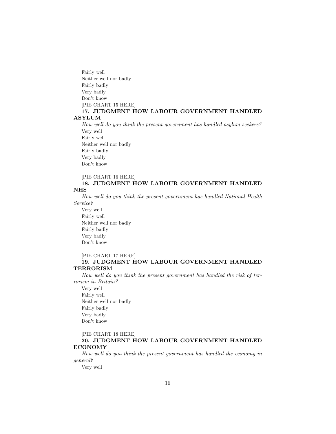Fairly well Neither well nor badly Fairly badly Very badly Don't know [PIE CHART 15 HERE] 17. JUDGMENT HOW LABOUR GOVERNMENT HANDLED ASYLUM

How well do you think the present government has handled asylum seekers? Very well Fairly well Neither well nor badly Fairly badly Very badly Don't know

[PIE CHART 16 HERE]

#### 18. JUDGMENT HOW LABOUR GOVERNMENT HANDLED NHS

How well do you think the present government has handled National Health Service?

Very well Fairly well Neither well nor badly Fairly badly Very badly Don't know.

#### [PIE CHART 17 HERE]

#### 19. JUDGMENT HOW LABOUR GOVERNMENT HANDLED TERRORISM

How well do you think the present government has handled the risk of terrorism in Britain?

Very well Fairly well Neither well nor badly Fairly badly Very badly Don't know

[PIE CHART 18 HERE]

#### 20. JUDGMENT HOW LABOUR GOVERNMENT HANDLED ECONOMY

How well do you think the present government has handled the economy in general?

Very well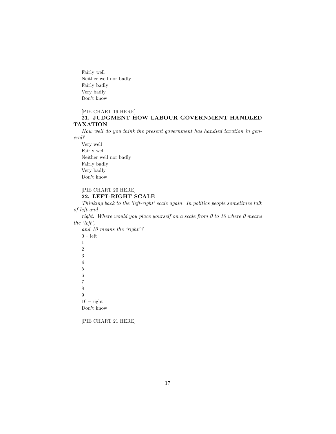Fairly well Neither well nor badly Fairly badly Very badly Don't know

#### [PIE CHART 19 HERE]

#### 21. JUDGMENT HOW LABOUR GOVERNMENT HANDLED TAXATION

How well do you think the present government has handled taxation in general?

Very well Fairly well Neither well nor badly Fairly badly Very badly Don't know

## [PIE CHART 20 HERE]

#### 22. LEFT-RIGHT SCALE

Thinking back to the 'left-right' scale again. In politics people sometimes talk of left and

right. Where would you place yourself on a scale from  $0$  to  $10$  where  $0$  means the  $left$ ,

and 10 means the 'right'?  $0$  – left 1 2 3 4 5 6 7 8 9  $10$  – right Don't know

[PIE CHART 21 HERE]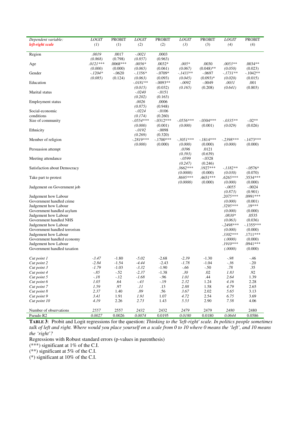| Dependent variable:                              | LOGIT      | <b>PROBIT</b> | <b>LOGIT</b>           | <b>PROBIT</b>          | <b>LOGIT</b> | <b>PROBIT</b> | <b>LOGIT</b>        | <b>PROBIT</b>       |
|--------------------------------------------------|------------|---------------|------------------------|------------------------|--------------|---------------|---------------------|---------------------|
| left-right scale                                 | (1)        | (1)           | (2)                    | (2)                    | (3)          | (3)           | (4)                 | (4)                 |
| Region                                           | .0019      | .0017         | $-.0021$               | .0003                  |              |               |                     |                     |
|                                                  | (0.868)    | (0.798)       | (0.857)                | (0.963)                |              |               |                     |                     |
| Age                                              | $.0121***$ | .0068***      | $.0056*$               | $.0032*$               | $.005*$      | .0030         | $.0053**$           | $.0034**$           |
|                                                  | (0.000)    | (0.000)       | (0.065)                | (0.061)                | (0.067)      | $(0.048)$ **  | (0.050)             | (0.023)             |
| Gender                                           | $-.1204*$  | $-.0620$      | $-.1356*$              | $-.0709*$              | $-1433**$    | $-.0697$      | $-.1731**$          | $-1042**$           |
|                                                  | (0.085)    | (0.124)       | (0.063)                | (0.093)                | (0.045)      | $(0.093)*$    | (0.020)             | (0.015)             |
| Education                                        |            |               | $-.0181**$             | $-.0093**$             | $-.0092$     | $-.0049$      | .0031               | .001                |
|                                                  |            |               | (0.015)                | (0.032)                | (0.165)      | (0.208)       | (0.641)             | (0.803)             |
| Marital status                                   |            |               | $-.0240$               | $-0151$                |              |               |                     |                     |
|                                                  |            |               | (0.202)                | (0.163)                |              |               |                     |                     |
| Employment status                                |            |               | .0026                  | .0006                  |              |               |                     |                     |
|                                                  |            |               | (0.875)<br>$-.0224$    | (0.948)                |              |               |                     |                     |
| Social-economic<br>conditions                    |            |               |                        | $-.0106$               |              |               |                     |                     |
| Size of community                                |            |               | (0.174)<br>$-.0554***$ | (0.260)<br>$-0.312***$ | $-0.0556***$ | $-0.304***$   | $-.0335**$          | $-.02**$            |
|                                                  |            |               | (0.000)                | (0.001)                | (0.000)      | (0.001)       | (0.029)             | (0.026)             |
| Ethnicity                                        |            |               | $-.0192$               | $-.0098$               |              |               |                     |                     |
|                                                  |            |               | (0.269)                | (0.320)                |              |               |                     |                     |
| Member of religion                               |            |               | $-.2819***$            | $-.1700***$            | $-.3051***$  | $-.1814***$   | $-.2398***$         | $-1473***$          |
|                                                  |            |               | (0.000)                | (0.000)                | (0.000)      | (0.000)       | (0.000)             | (0.000)             |
| Persuasion attempt                               |            |               |                        |                        | .0396        | .0121         |                     |                     |
|                                                  |            |               |                        |                        | (0.393)      | (0.639)       |                     |                     |
| Meeting attendance                               |            |               |                        |                        | $-0.0599$    | $-.0328$      |                     |                     |
|                                                  |            |               |                        |                        | (0.247)      | (0.246)       |                     |                     |
| Satisfaction about Democracy                     |            |               |                        |                        | $.3662***$   | .1927***      | $-.1182**$          | $-.0576*$           |
|                                                  |            |               |                        |                        | (0.0000)     | (0.000)       | (0.030)             | (0.070)             |
| Take part to protest                             |            |               |                        |                        | .8695***     | .4651***      | $.6265***$          | .3534***            |
|                                                  |            |               |                        |                        | (0.0000)     | (0.000)       | (0.000)             | (0.000)             |
| Judgement on Government job                      |            |               |                        |                        |              |               | $-.0055$            | $-.0024$            |
|                                                  |            |               |                        |                        |              |               | (0.873)             | (0.901)             |
| Judgement how Labour                             |            |               |                        |                        |              |               | $.2075***$          | .0991***            |
| Government handled crime<br>Judgement how Labour |            |               |                        |                        |              |               | (0.000)<br>.3295*** | (0.001)<br>$.19***$ |
| Government handled asylum                        |            |               |                        |                        |              |               | (0.000)             | (0.000)             |
| Judgement how Labour                             |            |               |                        |                        |              |               | $.0830*$            | .0535               |
| Government handled NHS                           |            |               |                        |                        |              |               | (0.063)             | (0.036)             |
| Judgement how Labour                             |            |               |                        |                        |              |               | $-.2498***$         | $-.1355***$         |
| Government handled terrorism                     |            |               |                        |                        |              |               | (0.000)             | (0.000)             |
| Judgement how Labour                             |            |               |                        |                        |              |               | $.3302***$          | .1711***            |
| Government handled economy                       |            |               |                        |                        |              |               | (.0000)             | (0.000)             |
| Judgement how Labour                             |            |               |                        |                        |              |               | .1910***            | .0941 ***           |
| Government handled taxation                      |            |               |                        |                        |              |               | (.0000)             | (0.000)             |
|                                                  |            |               |                        |                        |              |               |                     |                     |
| Cut point 1                                      | $-3.47$    | $-1.80$       | $-5.02$                | $-2.68$                | $-2.39$      | $-1.30$       | $-98$               | $-46$               |
| Cut point 2                                      | $-2.84$    | $-1.54$       | $-4.44$                | $-2.43$                | $-1.78$      | $-1.04$       | $-.36$              | $-.20$              |
| Cut point 3                                      | $-1.79$    | $-1.03$       | $-3.32$                | $-1.90$                | $-.66$       | $-.50$        | .78                 | .35                 |
| Cut point 4                                      | $-85$      | $-.52$        | $-2.37$                | $-1.38$                | .30          | .02           | 1.83                | .92                 |
| Cut point 5                                      | $-.18$     | $-.12$        | $-1.68$                | $-.96$                 | 1.01         | .44           | 2.64                | 1.39                |
| Cut point 6                                      | 1.05       | .64           | $-43$                  | $-.19$                 | 2.32         | 1.24          | 4.16                | 2.28                |
| Cut point 7                                      | 1.59       | .97           | .11                    | .13                    | 2.88         | 1.58          | 4.79                | 2.65                |
| Cut point 8                                      | 2.37       | 1.40          | $.89\,$                | .56                    | 3.67         | 2.02          | 5.65                | 3.13                |
| Cut point 9                                      | 3.41       | 1.91          | 1.91                   | 1.07                   | 4.72         | 2.54          | 6.75                | 3.69                |
| Cut point 10                                     | 4.19       | 2.26          | 2.73                   | 1.43                   | 5.53         | 2.90          | 7.58                | 4.06                |
| Number of observations                           | 2557       | 2557          | 2432                   | 2432                   | 2479         | 2479          | 2480                | 2480                |
| Pseudo R2                                        | 0.0027     | 0.0026        | 0.0074                 | 0.0195                 | 0.0180       | 0.0180        | 0.0644              | 0.0586              |

**TABLE 3**: Probit and Logit regressions for the question: *Thinking to the 'left-right' scale. In politics people sometimes talk of left and right. Where would you place yourself on a scale from 0 to 10 where 0 means the 'left', and 10 means the 'right'?* 

Regressions with Robust standard errors (p-values in parenthesis)

(\*\*\*) significant at 1% of the C.I.

 $(**)$  significant at 5% of the C.I.

(\*) significant at 10% of the C.I.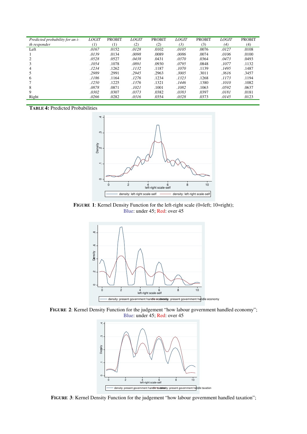| Predicted probability for an i- | <i>LOGIT</i> | <b>PROBIT</b>       | <i>LOGIT</i> | <b>PROBIT</b> | <i>LOGIT</i> | <b>PROBIT</b> | <b>LOGIT</b> | <b>PROBIT</b> |
|---------------------------------|--------------|---------------------|--------------|---------------|--------------|---------------|--------------|---------------|
| th responder                    | (1)          | $\scriptstyle{(1)}$ | (2)          | (2)           | (3)          | (3)           | (4)          | (4)           |
| Left                            | .0167        | .0152               | .0128        | .0102         | .0105        | .0076         | .0127        | .0108         |
|                                 | .0139        | .0134               | .0098        | .0089         | .0086        | .0074         | .0106        | .0100         |
|                                 | .0528        | .0527               | .0438        | .0431         | .0370        | .0364         | .0473        | .0493         |
|                                 | .1054        | .1078               | .0891        | .0930         | .0795        | .0848         | .1077        | .1132         |
| 4                               | .1234        | .1262               | .1132        | .1187         | .1070        | .1139         | .1495        | .1487         |
|                                 | .2989        | .2991               | .2945        | .2963         | .3005        | .3011         | .3616        | .3457         |
| 6                               | .1186        | .1164               | .1276        | .1234         | .1323        | .1268         | .1173        | .1194         |
|                                 | .1250        | .1225               | .1376        | .1321         | .1446        | .1380         | .1010        | .1082         |
| 8                               | .0878        | .0871               | .1021        | .1001         | .1082        | .1063         | .0592        | .0637         |
| 9                               | .0302        | .0307               | .0373        | .0382         | .0383        | .0397         | .0181        | .0181         |
| Right                           | .0266        | .0282               | .0316        | .0354         | .0328        | .0373         | .0145        | .0123         |
|                                 |              |                     |              |               |              |               |              |               |

**TABLE 4:** Predicted Probabilities



**FIGURE 1:** Kernel Density Function for the left-right scale (0=left; 10=right); Blue: under 45; Red: over 45



**FIGURE 2**: Kernel Density Function for the judgement "how labour government handled economy"; Blue: under 45; Red: over 45



**FIGURE 3**: Kernel Density Function for the judgement "how labour government handled taxation";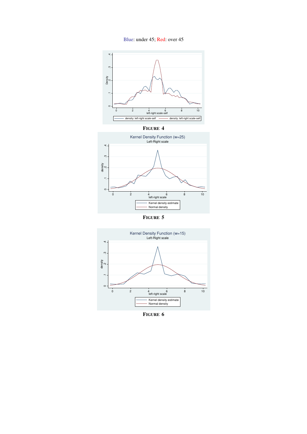



**FIGURE 5**



**FIGURE 6**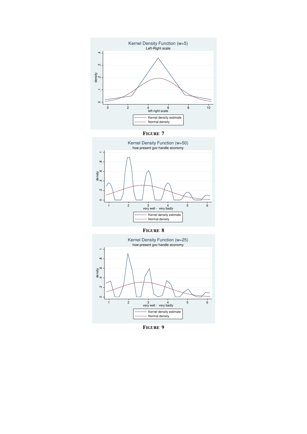

**FIGURE 7** 



**FIGURE 8** 



**FIGURE 9**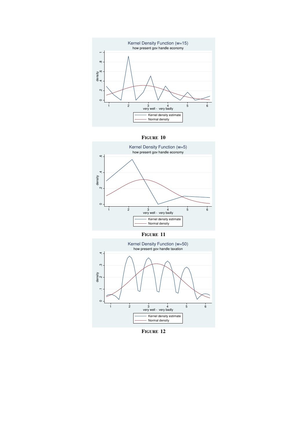





**FIGURE 11** 



**FIGURE 12**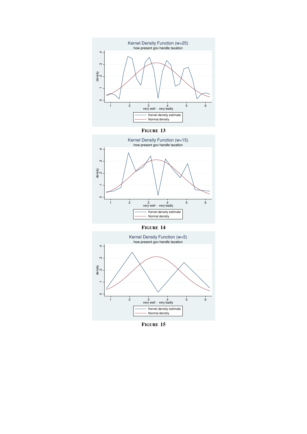

**FIGURE 13** 



**FIGURE 14** 



**FIGURE 15**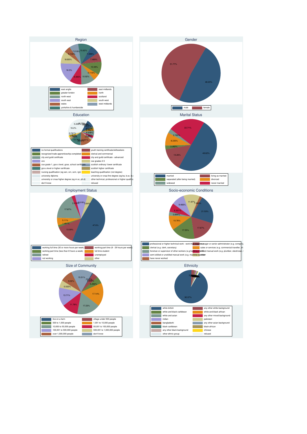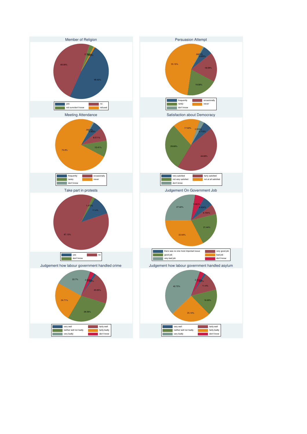